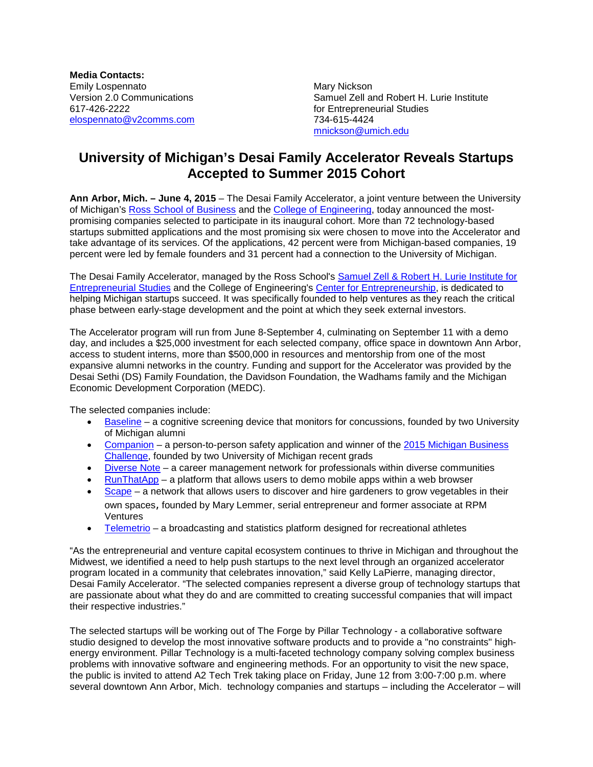**Media Contacts:** Emily Lospennato **Mary Nickson** Mary Nickson [elospennato@v2comms.com](mailto:elospennato@v2comms.com) 734-615-4424

Version 2.0 Communications  $\begin{array}{ccc}\n\text{Samuel Zell and Robert H. Lurie Institute} \\
\text{617-426-2222}\n\end{array}$ for Entrepreneurial Studies [mnickson@umich.edu](mailto:mnickson@umich.edu)

## **University of Michigan's Desai Family Accelerator Reveals Startups Accepted to Summer 2015 Cohort**

**Ann Arbor, Mich. – June 4, 2015** – The Desai Family Accelerator, a joint venture between the University of Michigan's [Ross School of Business](http://michiganross.umich.edu/) and the [College of Engineering,](http://www.engin.umich.edu/college/) today announced the mostpromising companies selected to participate in its inaugural cohort. More than 72 technology-based startups submitted applications and the most promising six were chosen to move into the Accelerator and take advantage of its services. Of the applications, 42 percent were from Michigan-based companies, 19 percent were led by female founders and 31 percent had a connection to the University of Michigan.

The Desai Family Accelerator, managed by the Ross School's [Samuel Zell & Robert H. Lurie Institute for](http://www.zli.bus.umich.edu/index.asp)  [Entrepreneurial Studies](http://www.zli.bus.umich.edu/index.asp) and the College of Engineering's [Center for Entrepreneurship,](http://www.cfe.umich.edu/) is dedicated to helping Michigan startups succeed. It was specifically founded to help ventures as they reach the critical phase between early-stage development and the point at which they seek external investors.

The Accelerator program will run from June 8-September 4, culminating on September 11 with a demo day, and includes a \$25,000 investment for each selected company, office space in downtown Ann Arbor, access to student interns, more than \$500,000 in resources and mentorship from one of the most expansive alumni networks in the country. Funding and support for the Accelerator was provided by the Desai Sethi (DS) Family Foundation, the Davidson Foundation, the Wadhams family and the Michigan Economic Development Corporation (MEDC).

The selected companies include:

- [Baseline](http://www.baselineapp.us/) a cognitive screening device that monitors for concussions, founded by two University of Michigan alumni
- [Companion](http://www.companionapp.io/) a person-to-person safety application and winner of the 2015 Michigan Business [Challenge,](http://www.prnewswire.com/news-releases/university-of-michigans-zell-lurie-institute-awards-129500-to-student-startups-in-32nd-annual-business-plan-competition-and-dare-to-dream-grant-program-300039681.html) founded by two University of Michigan recent grads
- [Diverse Note](http://www.diversenote.com/) a career management network for professionals within diverse communities
- [RunThatApp](http://www.runthatapp.com/) a platform that allows users to demo mobile apps within a web browser
- [Scape](http://www.myfoodscape.com/) a network that allows users to discover and hire gardeners to grow vegetables in their own spaces, founded by Mary Lemmer, serial entrepreneur and former associate at RPM Ventures
- [Telemetrio](https://www.telemetrio.com/home/index) a broadcasting and statistics platform designed for recreational athletes

"As the entrepreneurial and venture capital ecosystem continues to thrive in Michigan and throughout the Midwest, we identified a need to help push startups to the next level through an organized accelerator program located in a community that celebrates innovation," said Kelly LaPierre, managing director, Desai Family Accelerator. "The selected companies represent a diverse group of technology startups that are passionate about what they do and are committed to creating successful companies that will impact their respective industries."

The selected startups will be working out of The Forge by Pillar Technology - a collaborative software studio designed to develop the most innovative software products and to provide a "no constraints" highenergy environment. Pillar Technology is a multi-faceted technology company solving complex business problems with innovative software and engineering methods. For an opportunity to visit the new space, the public is invited to attend A2 Tech Trek taking place on Friday, June 12 from 3:00-7:00 p.m. where several downtown Ann Arbor, Mich. technology companies and startups – including the Accelerator – will